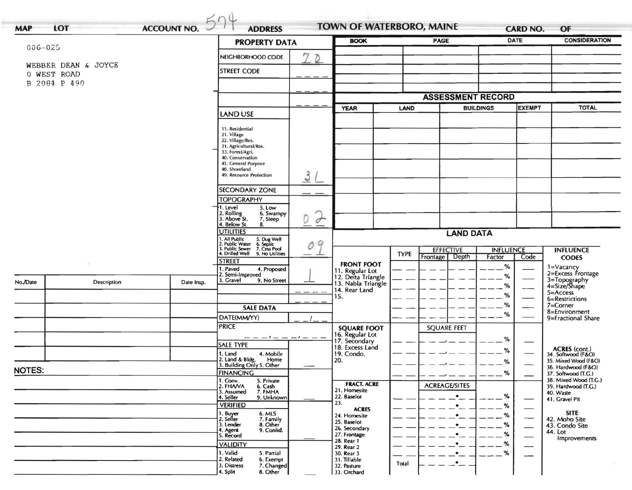|               |                     | <b>PROPERTY DATA</b>         | <b>BOOK</b>                                                                                                               |                    | <b>PAGE</b>                                         |                          | <b>DATE</b>          | <b>CONSIDERATION</b> |                                              |                                            |
|---------------|---------------------|------------------------------|---------------------------------------------------------------------------------------------------------------------------|--------------------|-----------------------------------------------------|--------------------------|----------------------|----------------------|----------------------------------------------|--------------------------------------------|
| 006-025       |                     |                              | NEIGHBORHOOD CODE                                                                                                         | 7<br>$\mathcal{D}$ |                                                     |                          |                      |                      |                                              |                                            |
|               | WEBBER DEAN & JOYCE |                              |                                                                                                                           |                    |                                                     |                          |                      |                      |                                              |                                            |
|               | 0 WEST ROAD         | <b>STREET CODE</b>           |                                                                                                                           |                    |                                                     |                          |                      |                      |                                              |                                            |
|               | B 2084 P 490        |                              |                                                                                                                           |                    |                                                     |                          |                      |                      |                                              |                                            |
|               |                     |                              |                                                                                                                           |                    |                                                     | <b>ASSESSMENT RECORD</b> |                      |                      |                                              |                                            |
|               |                     |                              | <b>YEAR</b><br>LAND                                                                                                       |                    | <b>EXEMPT</b><br><b>BUILDINGS</b>                   |                          | <b>TOTAL</b>         |                      |                                              |                                            |
|               |                     |                              | <b>LAND USE</b>                                                                                                           |                    |                                                     |                          |                      |                      |                                              |                                            |
|               |                     |                              | 11. Residential                                                                                                           |                    |                                                     |                          |                      |                      |                                              |                                            |
|               |                     |                              | 21. Village<br>22. Village/Res.                                                                                           |                    |                                                     |                          |                      |                      |                                              |                                            |
|               |                     |                              | 31. Agricultural/Res.                                                                                                     |                    |                                                     |                          |                      |                      |                                              |                                            |
|               |                     |                              | 33. Forest/Agri.<br>40. Conservation                                                                                      |                    |                                                     |                          |                      |                      |                                              |                                            |
|               |                     |                              | 45. General Purpose<br>48. Shoreland                                                                                      |                    |                                                     |                          |                      |                      |                                              |                                            |
|               |                     |                              | 49. Resource Protection                                                                                                   | $\mathcal{S}$      |                                                     |                          |                      |                      |                                              |                                            |
|               |                     |                              | <b>SECONDARY ZONE</b>                                                                                                     |                    |                                                     |                          |                      |                      |                                              |                                            |
|               |                     |                              | <b>TOPOGRAPHY</b>                                                                                                         |                    |                                                     |                          |                      |                      |                                              |                                            |
|               |                     |                              | 1. Level<br>5. Low                                                                                                        |                    |                                                     |                          |                      |                      |                                              |                                            |
|               |                     |                              | 2. Rolling<br>3. Above St.<br>6. Swampy<br>7. Steep                                                                       | $\sigma$<br>D      |                                                     |                          |                      |                      |                                              |                                            |
|               |                     |                              | 4. Below St.<br>8.                                                                                                        |                    |                                                     |                          |                      |                      |                                              |                                            |
|               |                     |                              | <b>UTILITIES</b>                                                                                                          |                    | <b>LAND DATA</b>                                    |                          |                      |                      |                                              |                                            |
|               |                     |                              | 1. All Public 5. Dug Well<br>2. Public Water 6. Septic<br>3. Public Sewer 7. Cess Pool<br>4. Drilled Well 9. No Utilities | 09                 |                                                     | <b>EFFECTIVE</b>         |                      | <b>INFLUENCE</b>     |                                              | <b>INFLUENCE</b>                           |
|               |                     |                              |                                                                                                                           |                    |                                                     | <b>TYPE</b>              | Depth<br>Frontage    | Factor               | Code                                         | <b>CODES</b>                               |
|               |                     |                              | <b>STREET</b><br>1. Paved<br>4. Proposed                                                                                  |                    | <b>FRONT FOOT</b>                                   |                          |                      | %                    |                                              | 1=Vacancy                                  |
|               |                     |                              | 2. Semi-Improved<br>3. Gravel<br>9. No Street                                                                             |                    | 11. Regular Lot<br>12. Delta Triangle               |                          |                      | %                    |                                              | 2=Excess Frontage                          |
| No./Date      | Description         | Date Insp.                   |                                                                                                                           |                    | 13. Nabla Triangle<br>14. Rear Land                 |                          |                      | %                    | $\frac{1}{2}$                                | 3=Topography<br>4=Size/Shape               |
|               |                     |                              |                                                                                                                           |                    | 15.                                                 |                          |                      | %                    |                                              | $5 =$ Access<br>6=Restrictions             |
|               |                     |                              | <b>SALE DATA</b>                                                                                                          |                    |                                                     |                          |                      | ℅                    |                                              | 7=Corner                                   |
|               |                     |                              | DATE(MM/YY)                                                                                                               |                    |                                                     |                          |                      | %                    |                                              | 8=Environment<br>9=Fractional Share        |
|               |                     |                              | <b>PRICE</b>                                                                                                              |                    | <b>SQUARE FOOT</b>                                  |                          | <b>SQUARE FEET</b>   |                      |                                              |                                            |
|               |                     |                              | — — — I — — — — I — — —                                                                                                   |                    | 16. Regular Lot<br>17. Secondary<br>18. Excess Land |                          |                      | %                    |                                              |                                            |
|               |                     |                              | SALE TYPE                                                                                                                 |                    |                                                     |                          |                      | %                    |                                              |                                            |
|               |                     |                              | 4. Mobile<br>1. Land<br>2. Land & Bldg.<br>Home                                                                           |                    | 19. Condo.<br>20.                                   |                          |                      |                      |                                              | ACRES (cont.)<br>34. Softwood (F&O)        |
|               |                     |                              | 3. Building Only 5. Other                                                                                                 |                    |                                                     |                          |                      | %                    |                                              | 35. Mixed Wood (F&O)<br>36. Hardwood (F&O) |
| <b>NOTES:</b> |                     | <b>FINANCING</b><br>1. Conv. |                                                                                                                           |                    |                                                     |                          | $\%$                 |                      | 37. Softwood (T.G.)<br>38. Mixed Wood (T.G.) |                                            |
|               |                     |                              | 5. Private<br>2. FHA/VA<br>6. Cash                                                                                        |                    | <b>FRACT. ACRE</b><br>21. Homesite                  |                          | <b>ACREAGE/SITES</b> |                      |                                              | 39. Hardwood (T.G.)                        |
|               |                     |                              | 7. FMHA<br>3. Assumed<br>4. Seller<br>9. Unknown                                                                          |                    | 22. Baselot                                         |                          | $\bullet$            | %                    | —                                            | 40. Waste<br>41. Gravel Pit                |
|               |                     |                              | <b>VERIFIED</b>                                                                                                           |                    | 23.<br><b>ACRES</b>                                 |                          |                      | %                    | $\frac{1}{2}$                                |                                            |
|               |                     |                              | 6. MLS<br>1. Buyer<br>2. Seller<br>7. Family                                                                              |                    | 24. Homesite                                        |                          | $\bullet$            | %                    | $\overline{\phantom{0}}$                     | <b>SITE</b><br>42. Moho Site               |
|               |                     |                              | 3. Lender<br>8. Other<br>9. Confid.                                                                                       |                    | 25. Baselot<br>26. Secondary                        |                          | ٠                    | %                    |                                              | 43. Condo Site                             |
|               |                     |                              | 4. Agent<br>5. Record                                                                                                     |                    | 27. Frontage                                        |                          | ٠                    | %                    | —                                            | 44. Lot<br>Improvements                    |
|               |                     |                              | <b>VALIDITY</b>                                                                                                           |                    | 28. Rear 1<br>29. Rear 2                            |                          |                      | %                    |                                              |                                            |
|               |                     |                              | 1. Valid<br>5. Partial                                                                                                    |                    | 30. Rear 3                                          |                          |                      | %                    |                                              |                                            |
|               |                     |                              | 2. Related<br>6. Exempt<br>3. Distress<br>7. Changed                                                                      |                    | 31. Tillable<br>32. Pasture                         | Total                    | $\bullet$            |                      |                                              |                                            |
|               |                     |                              | 4. Split<br>8. Other                                                                                                      |                    |                                                     |                          |                      |                      |                                              |                                            |